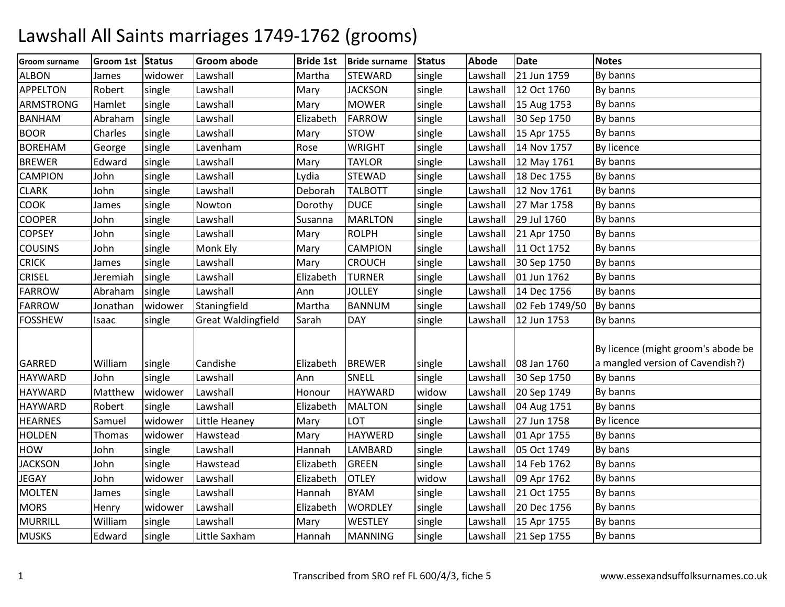## Lawshall All Saints marriages 1749-1762 (grooms)

| Groom surname    | Groom 1st Status |         | <b>Groom abode</b>        | <b>Bride 1st</b> | <b>Bride surname</b> | <b>Status</b> | Abode    | <b>Date</b>    | <b>Notes</b>                       |
|------------------|------------------|---------|---------------------------|------------------|----------------------|---------------|----------|----------------|------------------------------------|
| <b>ALBON</b>     | James            | widower | Lawshall                  | Martha           | <b>STEWARD</b>       | single        | Lawshall | 21 Jun 1759    | By banns                           |
| <b>APPELTON</b>  | Robert           | single  | Lawshall                  | Mary             | <b>JACKSON</b>       | single        | Lawshall | 12 Oct 1760    | By banns                           |
| <b>ARMSTRONG</b> | Hamlet           | single  | Lawshall                  | Mary             | <b>MOWER</b>         | single        | Lawshall | 15 Aug 1753    | By banns                           |
| <b>BANHAM</b>    | Abraham          | single  | Lawshall                  | Elizabeth        | <b>FARROW</b>        | single        | Lawshall | 30 Sep 1750    | By banns                           |
| <b>BOOR</b>      | Charles          | single  | Lawshall                  | Mary             | <b>STOW</b>          | single        | Lawshall | 15 Apr 1755    | By banns                           |
| <b>BOREHAM</b>   | George           | single  | Lavenham                  | Rose             | <b>WRIGHT</b>        | single        | Lawshall | 14 Nov 1757    | By licence                         |
| <b>BREWER</b>    | Edward           | single  | Lawshall                  | Mary             | <b>TAYLOR</b>        | single        | Lawshall | 12 May 1761    | By banns                           |
| <b>CAMPION</b>   | John             | single  | Lawshall                  | Lydia            | <b>STEWAD</b>        | single        | Lawshall | 18 Dec 1755    | By banns                           |
| <b>CLARK</b>     | John             | single  | Lawshall                  | Deborah          | <b>TALBOTT</b>       | single        | Lawshall | 12 Nov 1761    | By banns                           |
| <b>COOK</b>      | James            | single  | Nowton                    | Dorothy          | <b>DUCE</b>          | single        | Lawshall | 27 Mar 1758    | By banns                           |
| <b>COOPER</b>    | John             | single  | Lawshall                  | Susanna          | <b>MARLTON</b>       | single        | Lawshall | 29 Jul 1760    | By banns                           |
| <b>COPSEY</b>    | John             | single  | Lawshall                  | Mary             | <b>ROLPH</b>         | single        | Lawshall | 21 Apr 1750    | By banns                           |
| <b>COUSINS</b>   | John             | single  | Monk Ely                  | Mary             | <b>CAMPION</b>       | single        | Lawshall | 11 Oct 1752    | By banns                           |
| <b>CRICK</b>     | James            | single  | Lawshall                  | Mary             | <b>CROUCH</b>        | single        | Lawshall | 30 Sep 1750    | By banns                           |
| <b>CRISEL</b>    | Jeremiah         | single  | Lawshall                  | Elizabeth        | <b>TURNER</b>        | single        | Lawshall | 01 Jun 1762    | By banns                           |
| <b>FARROW</b>    | Abraham          | single  | Lawshall                  | Ann              | <b>JOLLEY</b>        | single        | Lawshall | 14 Dec 1756    | By banns                           |
| <b>FARROW</b>    | Jonathan         | widower | Staningfield              | Martha           | <b>BANNUM</b>        | single        | Lawshall | 02 Feb 1749/50 | By banns                           |
| <b>FOSSHEW</b>   | Isaac            | single  | <b>Great Waldingfield</b> | Sarah            | <b>DAY</b>           | single        | Lawshall | 12 Jun 1753    | By banns                           |
|                  |                  |         |                           |                  |                      |               |          |                |                                    |
|                  |                  |         |                           |                  |                      |               |          |                | By licence (might groom's abode be |
| <b>GARRED</b>    | William          | single  | Candishe                  | Elizabeth        | <b>BREWER</b>        | single        | Lawshall | 08 Jan 1760    | a mangled version of Cavendish?)   |
| <b>HAYWARD</b>   | John             | single  | Lawshall                  | Ann              | SNELL                | single        | Lawshall | 30 Sep 1750    | By banns                           |
| <b>HAYWARD</b>   | Matthew          | widower | Lawshall                  | Honour           | HAYWARD              | widow         | Lawshall | 20 Sep 1749    | By banns                           |
| <b>HAYWARD</b>   | Robert           | single  | Lawshall                  | Elizabeth        | <b>MALTON</b>        | single        | Lawshall | 04 Aug 1751    | By banns                           |
| <b>HEARNES</b>   | Samuel           | widower | Little Heaney             | Mary             | LOT                  | single        | Lawshall | 27 Jun 1758    | <b>By licence</b>                  |
| <b>HOLDEN</b>    | Thomas           | widower | Hawstead                  | Mary             | <b>HAYWERD</b>       | single        | Lawshall | 01 Apr 1755    | By banns                           |
| HOW              | John             | single  | Lawshall                  | Hannah           | LAMBARD              | single        | Lawshall | 05 Oct 1749    | By bans                            |
| <b>JACKSON</b>   | John             | single  | Hawstead                  | Elizabeth        | <b>GREEN</b>         | single        | Lawshall | 14 Feb 1762    | By banns                           |
| <b>JEGAY</b>     | John             | widower | Lawshall                  | Elizabeth        | <b>OTLEY</b>         | widow         | Lawshall | 09 Apr 1762    | By banns                           |
| <b>MOLTEN</b>    | James            | single  | Lawshall                  | Hannah           | <b>BYAM</b>          | single        | Lawshall | 21 Oct 1755    | By banns                           |
| <b>MORS</b>      | Henry            | widower | Lawshall                  | Elizabeth        | <b>WORDLEY</b>       | single        | Lawshall | 20 Dec 1756    | By banns                           |
| <b>MURRILL</b>   | William          | single  | Lawshall                  | Mary             | <b>WESTLEY</b>       | single        | Lawshall | 15 Apr 1755    | By banns                           |
| <b>MUSKS</b>     | Edward           | single  | Little Saxham             | Hannah           | <b>MANNING</b>       | single        | Lawshall | 21 Sep 1755    | By banns                           |